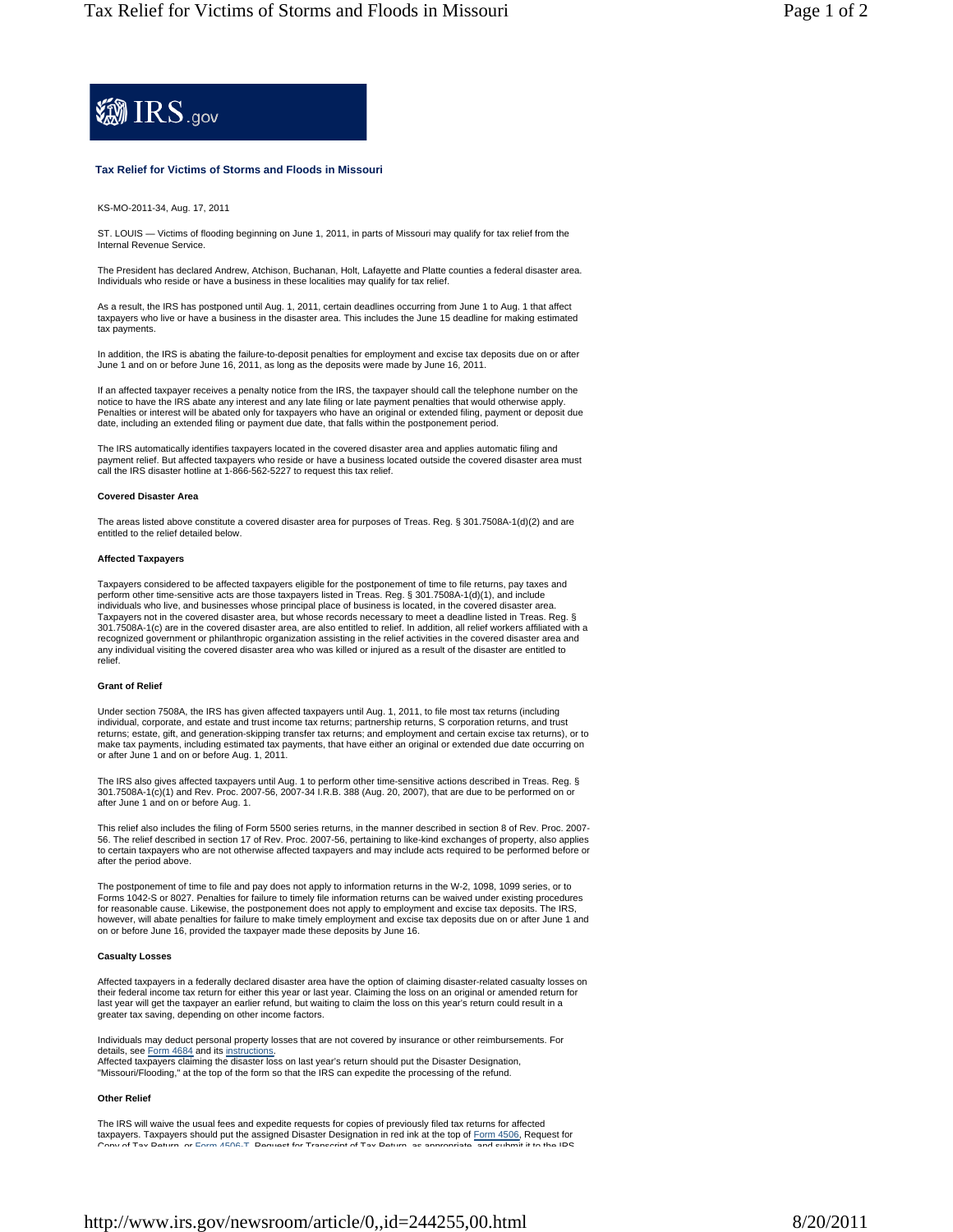

# **Tax Relief for Victims of Storms and Floods in Missouri**

KS-MO-2011-34, Aug. 17, 2011

ST. LOUIS — Victims of flooding beginning on June 1, 2011, in parts of Missouri may qualify for tax relief from the Internal Revenue Service.

The President has declared Andrew, Atchison, Buchanan, Holt, Lafayette and Platte counties a federal disaster area. Individuals who reside or have a business in these localities may qualify for tax relief.

As a result, the IRS has postponed until Aug. 1, 2011, certain deadlines occurring from June 1 to Aug. 1 that affect taxpayers who live or have a business in the disaster area. This includes the June 15 deadline for making estimated tax payments.

In addition, the IRS is abating the failure-to-deposit penalties for employment and excise tax deposits due on or after<br>June 1 and on or before June 16, 2011, as long as the deposits were made by June 16, 2011.

If an affected taxpayer receives a penalty notice from the IRS, the taxpayer should call the telephone number on the notice to have the IRS abate any interest and any late filing or late payment penalties that would otherwise apply. Penalties or interest will be abated only for taxpayers who have an original or extended filing, payment or deposit due<br>date, including an extended filing or payment due date, that falls within the postponement period.

The IRS automatically identifies taxpayers located in the covered disaster area and applies automatic filing and payment relief. But affected taxpayers who reside or have a business located outside the covered disaster area must call the IRS disaster hotline at 1-866-562-5227 to request this tax relief.

## **Covered Disaster Area**

The areas listed above constitute a covered disaster area for purposes of Treas. Reg. § 301.7508A-1(d)(2) and are entitled to the relief detailed below.

#### **Affected Taxpayers**

Taxpayers considered to be affected taxpayers eligible for the postponement of time to file returns, pay taxes and perform other time-sensitive acts are those taxpayers listed in Treas. Reg. § 301.7508A-1(d)(1), and include individuals who live, and businesses whose principal place of business is located, in the covered disaster area. Taxpayers not in the covered disaster area, but whose records necessary to meet a deadline listed in Treas. Reg. § 301.7508A-1(c) are in the covered disaster area, are also entitled to relief. In addition, all relief workers affiliated with a recognized government or philanthropic organization assisting in the relief activities in the covered disaster area and any individual visiting the covered disaster area who was killed or injured as a result of the disaster are entitled to relief.

### **Grant of Relief**

Under section 7508A, the IRS has given affected taxpayers until Aug. 1, 2011, to file most tax returns (including<br>individual, corporate, and estate and trust income tax returns; partnership returns, S corporation returns, returns; estate, gift, and generation-skipping transfer tax returns; and employment and certain excise tax returns), or to make tax payments, including estimated tax payments, that have either an original or extended due date occurring on or after June 1 and on or before Aug. 1, 2011.

The IRS also gives affected taxpayers until Aug. 1 to perform other time-sensitive actions described in Treas. Reg. § 301.7508A-1(c)(1) and Rev. Proc. 2007-56, 2007-34 I.R.B. 388 (Aug. 20, 2007), that are due to be performed on or after June 1 and on or before Aug. 1.

This relief also includes the filing of Form 5500 series returns, in the manner described in section 8 of Rev. Proc. 2007- 56. The relief described in section 17 of Rev. Proc. 2007-56, pertaining to like-kind exchanges of property, also applies to certain taxpayers who are not otherwise affected taxpayers and may include acts required to be performed before or after the period above.

The postponement of time to file and pay does not apply to information returns in the W-2, 1098, 1099 series, or to Forms 1042-S or 8027. Penalties for failure to timely file information returns can be waived under existing procedures for reasonable cause. Likewise, the postponement does not apply to employment and excise tax deposits. The IRS, however, will abate penalties for failure to make timely employment and excise tax deposits due on or after June 1 and on or before June 16, provided the taxpayer made these deposits by June 16.

## **Casualty Losses**

Affected taxpayers in a federally declared disaster area have the option of claiming disaster-related casualty losses on their federal income tax return for either this year or last year. Claiming the loss on an original or amended return for last year will get the taxpayer an earlier refund, but waiting to claim the loss on this year's return could result in a greater tax saving, depending on other income factors.

Individuals may deduct personal property losses that are not covered by insurance or other reimbursements. For details, see Form 4684 and its instructions

Affected taxpayers claiming the disaster loss on last year's return should put the Disaster Designation, "Missouri/Flooding," at the top of the form so that the IRS can expedite the processing of the refund.

### **Other Relief**

The IRS will waive the usual fees and expedite requests for copies of previously filed tax returns for affected taxpayers. Taxpayers should put the assigned Disaster Designation in red ink at the top of <u>Form 4506,</u> Request for<br>Conviot Tax Return, or Form 4506-T. Request for Transcript of Tax Return, as appropriate, and submit it to